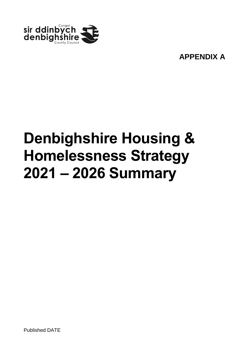

**APPENDIX A**

# **Denbighshire Housing & Homelessness Strategy 2021 – 2026 Summary**

Published DATE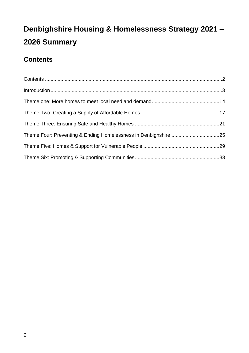### <span id="page-1-0"></span>**Contents**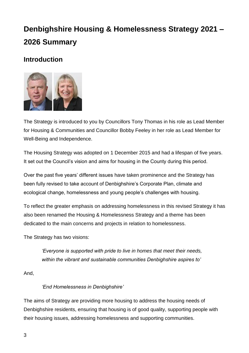### <span id="page-2-0"></span>**Introduction**



The Strategy is introduced to you by Councillors Tony Thomas in his role as Lead Member for Housing & Communities and Councillor Bobby Feeley in her role as Lead Member for Well-Being and Independence.

The Housing Strategy was adopted on 1 December 2015 and had a lifespan of five years. It set out the Council's vision and aims for housing in the County during this period.

Over the past five years' different issues have taken prominence and the Strategy has been fully revised to take account of Denbighshire's Corporate Plan, climate and ecological change, homelessness and young people's challenges with housing.

To reflect the greater emphasis on addressing homelessness in this revised Strategy it has also been renamed the Housing & Homelessness Strategy and a theme has been dedicated to the main concerns and projects in relation to homelessness.

The Strategy has two visions:

*'Everyone is supported with pride to live in homes that meet their needs, within the vibrant and sustainable communities Denbighshire aspires to'*

And,

#### *'End Homelessness in Denbighshire'*

The aims of Strategy are providing more housing to address the housing needs of Denbighshire residents, ensuring that housing is of good quality, supporting people with their housing issues, addressing homelessness and supporting communities.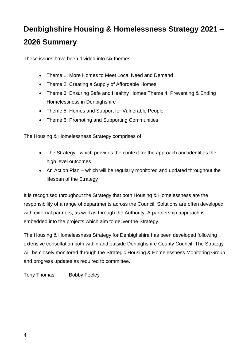These issues have been divided into six themes:

- Theme 1: More Homes to Meet Local Need and Demand
- Theme 2: Creating a Supply of Affordable Homes
- Theme 3: Ensuring Safe and Healthy Homes Theme 4: Preventing & Ending Homelessness in Denbighshire
- Theme 5: Homes and Support for Vulnerable People
- Theme 6: Promoting and Supporting Communities

The Housing & Homelessness Strategy comprises of:

- The Strategy which provides the context for the approach and identifies the high level outcomes
- An Action Plan which will be regularly monitored and updated throughout the lifespan of the Strategy

It is recognised throughout the Strategy that both Housing & Homelessness are the responsibility of a range of departments across the Council. Solutions are often developed with external partners, as well as through the Authority. A partnership approach is embedded into the projects which aim to deliver the Strategy.

The Housing & Homelessness Strategy for Denbighshire has been developed following extensive consultation both within and outside Denbighshire County Council. The Strategy will be closely monitored through the Strategic Housing & Homelessness Monitoring Group and progress updates as required to committee.

Tony Thomas Bobby Feeley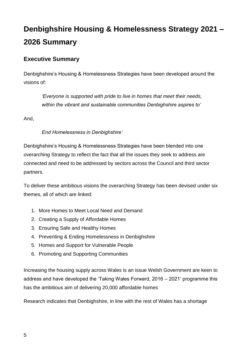### **Executive Summary**

Denbighshire's Housing & Homelessness Strategies have been developed around the visions of:

*'Everyone is supported with pride to live in homes that meet their needs, within the vibrant and sustainable communities Denbighshire aspires to'*

And,

#### *End Homelessness in Denbighshire'*

Denbighshire's Housing & Homelessness Strategies have been blended into one overarching Strategy to reflect the fact that all the issues they seek to address are connected and need to be addressed by sectors across the Council and third sector partners.

To deliver these ambitious visions the overarching Strategy has been devised under six themes, all of which are linked:

- 1. More Homes to Meet Local Need and Demand
- 2. Creating a Supply of Affordable Homes
- 3. Ensuring Safe and Healthy Homes
- 4. Preventing & Ending Homelessness in Denbighshire
- 5. Homes and Support for Vulnerable People
- 6. Promoting and Supporting Communities

Increasing the housing supply across Wales is an issue Welsh Government are keen to address and have developed the 'Taking Wales Forward, 2016 – 2021' programme this has the ambitious aim of delivering 20,000 affordable homes

Research indicates that Denbighshire, in line with the rest of Wales has a shortage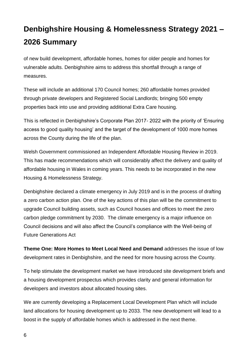of new build development, affordable homes, homes for older people and homes for vulnerable adults. Denbighshire aims to address this shortfall through a range of measures.

These will include an additional 170 Council homes; 260 affordable homes provided through private developers and Registered Social Landlords; bringing 500 empty properties back into use and providing additional Extra Care housing.

This is reflected in Denbighshire's Corporate Plan 2017- 2022 with the priority of 'Ensuring access to good quality housing' and the target of the development of 1000 more homes across the County during the life of the plan.

Welsh Government commissioned an Independent Affordable Housing Review in 2019. This has made recommendations which will considerably affect the delivery and quality of affordable housing in Wales in coming years. This needs to be incorporated in the new Housing & Homelessness Strategy.

Denbighshire declared a climate emergency in July 2019 and is in the process of drafting a zero carbon action plan. One of the key actions of this plan will be the commitment to upgrade Council building assets, such as Council houses and offices to meet the zero carbon pledge commitment by 2030. The climate emergency is a major influence on Council decisions and will also affect the Council's compliance with the Well-being of Future Generations Act

**Theme One: More Homes to Meet Local Need and Demand** addresses the issue of low development rates in Denbighshire, and the need for more housing across the County.

To help stimulate the development market we have introduced site development briefs and a housing development prospectus which provides clarity and general information for developers and investors about allocated housing sites.

We are currently developing a Replacement Local Development Plan which will include land allocations for housing development up to 2033. The new development will lead to a boost in the supply of affordable homes which is addressed in the next theme.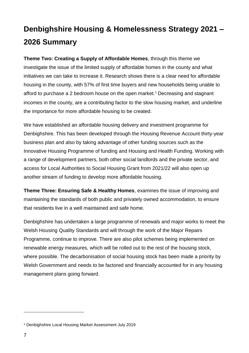**Theme Two: Creating a Supply of Affordable Homes**, through this theme we investigate the issue of the limited supply of affordable homes in the county and what initiatives we can take to increase it. Research shows there is a clear need for affordable housing in the county, with 57% of first time buyers and new households being unable to afford to purchase a 2 bedroom house on the open market.<sup>1</sup> Decreasing and stagnant incomes in the county, are a contributing factor to the slow housing market, and underline the importance for more affordable housing to be created.

We have established an affordable housing delivery and investment programme for Denbighshire. This has been developed through the Housing Revenue Account thirty-year business plan and also by taking advantage of other funding sources such as the Innovative Housing Programme of funding and Housing and Health Funding. Working with a range of development partners, both other social landlords and the private sector, and access for Local Authorities to Social Housing Grant from 2021/22 will also open up another stream of funding to develop more affordable housing.

**Theme Three: Ensuring Safe & Healthy Homes**, examines the issue of improving and maintaining the standards of both public and privately owned accommodation, to ensure that residents live in a well maintained and safe home.

Denbighshire has undertaken a large programme of renewals and major works to meet the Welsh Housing Quality Standards and will through the work of the Major Repairs Programme, continue to improve. There are also pilot schemes being implemented on renewable energy measures, which will be rolled out to the rest of the housing stock, where possible. The decarbonisation of social housing stock has been made a priority by Welsh Government and needs to be factored and financially accounted for in any housing management plans going forward.

 $\overline{a}$ 

<sup>1</sup> Denbighshire Local Housing Market Assessment July 2019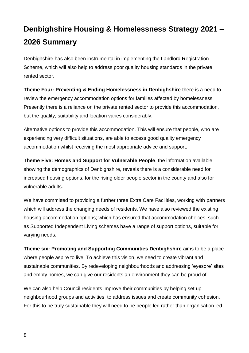Denbighshire has also been instrumental in implementing the Landlord Registration Scheme, which will also help to address poor quality housing standards in the private rented sector.

**Theme Four: Preventing & Ending Homelessness in Denbighshire** there is a need to review the emergency accommodation options for families affected by homelessness. Presently there is a reliance on the private rented sector to provide this accommodation, but the quality, suitability and location varies considerably.

Alternative options to provide this accommodation. This will ensure that people, who are experiencing very difficult situations, are able to access good quality emergency accommodation whilst receiving the most appropriate advice and support.

**Theme Five: Homes and Support for Vulnerable People**, the information available showing the demographics of Denbighshire, reveals there is a considerable need for increased housing options, for the rising older people sector in the county and also for vulnerable adults.

We have committed to providing a further three Extra Care Facilities, working with partners which will address the changing needs of residents. We have also reviewed the existing housing accommodation options; which has ensured that accommodation choices, such as Supported Independent Living schemes have a range of support options, suitable for varying needs.

**Theme six: Promoting and Supporting Communities Denbighshire** aims to be a place where people aspire to live. To achieve this vision, we need to create vibrant and sustainable communities. By redeveloping neighbourhoods and addressing 'eyesore' sites and empty homes, we can give our residents an environment they can be proud of.

We can also help Council residents improve their communities by helping set up neighbourhood groups and activities, to address issues and create community cohesion. For this to be truly sustainable they will need to be people led rather than organisation led.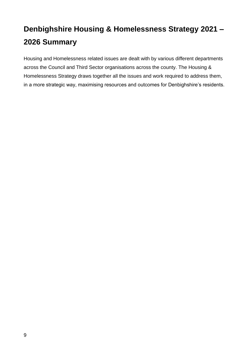Housing and Homelessness related issues are dealt with by various different departments across the Council and Third Sector organisations across the county. The Housing & Homelessness Strategy draws together all the issues and work required to address them, in a more strategic way, maximising resources and outcomes for Denbighshire's residents.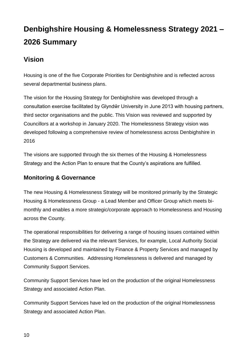### **Vision**

Housing is one of the five Corporate Priorities for Denbighshire and is reflected across several departmental business plans.

The vision for the Housing Strategy for Denbighshire was developed through a consultation exercise facilitated by Glyndŵr University in June 2013 with housing partners, third sector organisations and the public. This Vision was reviewed and supported by Councillors at a workshop in January 2020. The Homelessness Strategy vision was developed following a comprehensive review of homelessness across Denbighshire in 2016

The visions are supported through the six themes of the Housing & Homelessness Strategy and the Action Plan to ensure that the County's aspirations are fulfilled.

### **Monitoring & Governance**

The new Housing & Homelessness Strategy will be monitored primarily by the Strategic Housing & Homelessness Group - a Lead Member and Officer Group which meets bimonthly and enables a more strategic/corporate approach to Homelessness and Housing across the County.

The operational responsibilities for delivering a range of housing issues contained within the Strategy are delivered via the relevant Services, for example, Local Authority Social Housing is developed and maintained by Finance & Property Services and managed by Customers & Communities. Addressing Homelessness is delivered and managed by Community Support Services.

Community Support Services have led on the production of the original Homelessness Strategy and associated Action Plan.

Community Support Services have led on the production of the original Homelessness Strategy and associated Action Plan.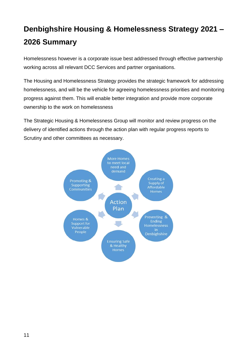Homelessness however is a corporate issue best addressed through effective partnership working across all relevant DCC Services and partner organisations.

The Housing and Homelessness Strategy provides the strategic framework for addressing homelessness, and will be the vehicle for agreeing homelessness priorities and monitoring progress against them. This will enable better integration and provide more corporate ownership to the work on homelessness

The Strategic Housing & Homelessness Group will monitor and review progress on the delivery of identified actions through the action plan with regular progress reports to Scrutiny and other committees as necessary.

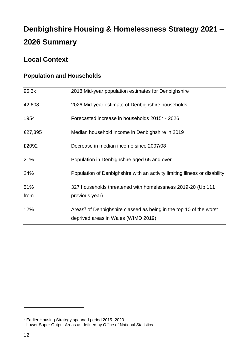### **Local Context**

| 95.3k       | 2018 Mid-year population estimates for Denbighshire                                                                   |
|-------------|-----------------------------------------------------------------------------------------------------------------------|
| 42,608      | 2026 Mid-year estimate of Denbighshire households                                                                     |
| 1954        | Forecasted increase in households 2015 <sup>2</sup> - 2026                                                            |
| £27,395     | Median household income in Denbighshire in 2019                                                                       |
| £2092       | Decrease in median income since 2007/08                                                                               |
| 21%         | Population in Denbighshire aged 65 and over                                                                           |
| 24%         | Population of Denbighshire with an activity limiting illness or disability                                            |
| 51%<br>from | 327 households threatened with homelessness 2019-20 (Up 111<br>previous year)                                         |
| 12%         | Areas <sup>3</sup> of Denbighshire classed as being in the top 10 of the worst<br>deprived areas in Wales (WIMD 2019) |

### **Population and Households**

 $\overline{a}$ 

<sup>2</sup> Earlier Housing Strategy spanned period 2015- 2020

<sup>&</sup>lt;sup>3</sup> Lower Super Output Areas as defined by Office of National Statistics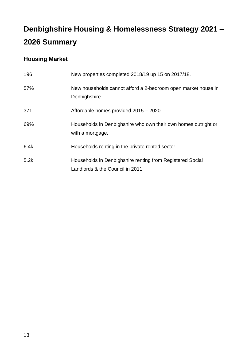### **Housing Market**

| 196  | New properties completed 2018/19 up 15 on 2017/18.                                           |
|------|----------------------------------------------------------------------------------------------|
| 57%  | New households cannot afford a 2-bedroom open market house in<br>Denbighshire.               |
| 371  | Affordable homes provided 2015 - 2020                                                        |
| 69%  | Households in Denbighshire who own their own homes outright or<br>with a mortgage.           |
| 6.4k | Households renting in the private rented sector                                              |
| 5.2k | Households in Denbighshire renting from Registered Social<br>Landlords & the Council in 2011 |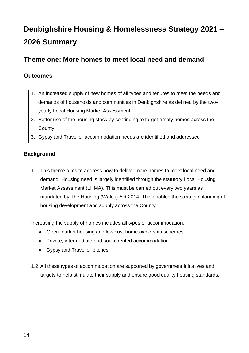### <span id="page-13-0"></span>**Theme one: More homes to meet local need and demand**

### **Outcomes**

- 1. An increased supply of new homes of all types and tenures to meet the needs and demands of households and communities in Denbighshire as defined by the twoyearly Local Housing Market Assessment
- 2. Better use of the housing stock by continuing to target empty homes across the **County**
- 3. Gypsy and Traveller accommodation needs are identified and addressed

### **Background**

1.1.This theme aims to address how to deliver more homes to meet local need and demand. Housing need is largely identified through the statutory Local Housing Market Assessment (LHMA). This must be carried out every two years as mandated by The Housing (Wales) Act 2014. This enables the strategic planning of housing development and supply across the County.

Increasing the supply of homes includes all types of accommodation:

- Open market housing and low cost home ownership schemes
- Private, intermediate and social rented accommodation
- Gypsy and Traveller pitches
- 1.2.All these types of accommodation are supported by government initiatives and targets to help stimulate their supply and ensure good quality housing standards.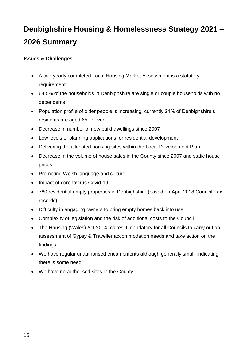#### **Issues & Challenges**

- A two-yearly completed Local Housing Market Assessment is a statutory requirement
- 64.5% of the households in Denbighshire are single or couple households with no dependents
- Population profile of older people is increasing; currently 21% of Denbighshire's residents are aged 65 or over
- Decrease in number of new build dwellings since 2007
- Low levels of planning applications for residential development
- Delivering the allocated housing sites within the Local Development Plan
- Decrease in the volume of house sales in the County since 2007 and static house prices
- Promoting Welsh language and culture
- Impact of coronavirus Covid-19
- 780 residential empty properties in Denbighshire (based on April 2018 Council Tax records)
- Difficulty in engaging owners to bring empty homes back into use
- Complexity of legislation and the risk of additional costs to the Council
- The Housing (Wales) Act 2014 makes it mandatory for all Councils to carry out an assessment of Gypsy & Traveller accommodation needs and take action on the findings.
- We have regular unauthorised encampments although generally small, indicating there is some need
- We have no authorised sites in the County.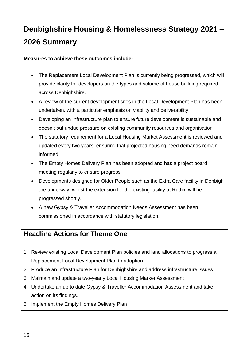**Measures to achieve these outcomes include:**

- The Replacement Local Development Plan is currently being progressed, which will provide clarity for developers on the types and volume of house building required across Denbighshire.
- A review of the current development sites in the Local Development Plan has been undertaken, with a particular emphasis on viability and deliverability
- Developing an Infrastructure plan to ensure future development is sustainable and doesn't put undue pressure on existing community resources and organisation
- The statutory requirement for a Local Housing Market Assessment is reviewed and updated every two years, ensuring that projected housing need demands remain informed.
- The Empty Homes Delivery Plan has been adopted and has a project board meeting regularly to ensure progress.
- Developments designed for Older People such as the Extra Care facility in Denbigh are underway, whilst the extension for the existing facility at Ruthin will be progressed shortly.
- A new Gypsy & Traveller Accommodation Needs Assessment has been commissioned in accordance with statutory legislation.

### **Headline Actions for Theme One**

- 1. Review existing Local Development Plan policies and land allocations to progress a Replacement Local Development Plan to adoption
- 2. Produce an Infrastructure Plan for Denbighshire and address infrastructure issues
- 3. Maintain and update a two-yearly Local Housing Market Assessment
- 4. Undertake an up to date Gypsy & Traveller Accommodation Assessment and take action on its findings.
- 5. Implement the Empty Homes Delivery Plan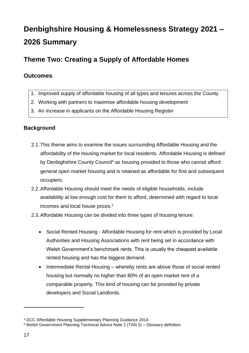### <span id="page-16-0"></span>**Theme Two: Creating a Supply of Affordable Homes**

### **Outcomes**

- 1. Improved supply of affordable housing of all types and tenures across the County
- 2. Working with partners to maximise affordable housing development
- 3. An increase in applicants on the Affordable Housing Register

#### **Background**

- 2.1.This theme aims to examine the issues surrounding Affordable Housing and the affordability of the housing market for local residents. Affordable Housing is defined by Denbighshire County Council<sup>4</sup> as housing provided to those who cannot afford general open market housing and is retained as affordable for first and subsequent occupiers.
- 2.2.Affordable Housing should meet the needs of eligible households, include availability at low enough cost for them to afford, determined with regard to local incomes and local house prices.<sup>5</sup>
- 2.3.Affordable Housing can be divided into three types of housing tenure:
	- Social Rented Housing Affordable Housing for rent which is provided by Local Authorities and Housing Associations with rent being set in accordance with Welsh Government's benchmark rents. This is usually the cheapest available rented housing and has the biggest demand.
	- Intermediate Rental Housing whereby rents are above those of social rented housing but normally no higher than 80% of an open market rent of a comparable property. This kind of housing can be provided by private developers and Social Landlords.

 $\overline{a}$ 

<sup>4</sup> DCC Affordable Housing Supplementary Planning Guidance 2014

<sup>5</sup> Welsh Government Planning Technical Advice Note 2 (TAN 2) – Glossary definition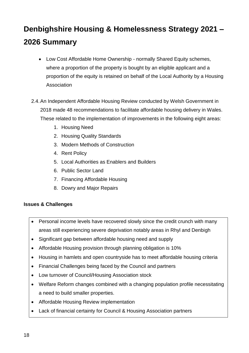- Low Cost Affordable Home Ownership normally Shared Equity schemes, where a proportion of the property is bought by an eligible applicant and a proportion of the equity is retained on behalf of the Local Authority by a Housing **Association**
- 2.4.An Independent Affordable Housing Review conducted by Welsh Government in 2018 made 48 recommendations to facilitate affordable housing delivery in Wales. These related to the implementation of improvements in the following eight areas:
	- 1. Housing Need
	- 2. Housing Quality Standards
	- 3. Modern Methods of Construction
	- 4. Rent Policy
	- 5. Local Authorities as Enablers and Builders
	- 6. Public Sector Land
	- 7. Financing Affordable Housing
	- 8. Dowry and Major Repairs

#### **Issues & Challenges**

- Personal income levels have recovered slowly since the credit crunch with many areas still experiencing severe deprivation notably areas in Rhyl and Denbigh
- Significant gap between affordable housing need and supply
- Affordable Housing provision through planning obligation is 10%
- Housing in hamlets and open countryside has to meet affordable housing criteria
- Financial Challenges being faced by the Council and partners
- Low turnover of Council/Housing Association stock
- Welfare Reform changes combined with a changing population profile necessitating a need to build smaller properties.
- Affordable Housing Review implementation
- Lack of financial certainty for Council & Housing Association partners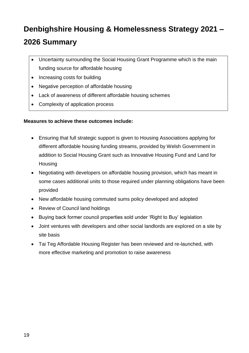- Uncertainty surrounding the Social Housing Grant Programme which is the main funding source for affordable housing
- Increasing costs for building
- Negative perception of affordable housing
- Lack of awareness of different affordable housing schemes
- Complexity of application process

#### **Measures to achieve these outcomes include:**

- Ensuring that full strategic support is given to Housing Associations applying for different affordable housing funding streams, provided by Welsh Government in addition to Social Housing Grant such as Innovative Housing Fund and Land for **Housing**
- Negotiating with developers on affordable housing provision, which has meant in some cases additional units to those required under planning obligations have been provided
- New affordable housing commuted sums policy developed and adopted
- Review of Council land holdings
- Buying back former council properties sold under 'Right to Buy' legislation
- Joint ventures with developers and other social landlords are explored on a site by site basis
- Tai Teg Affordable Housing Register has been reviewed and re-launched, with more effective marketing and promotion to raise awareness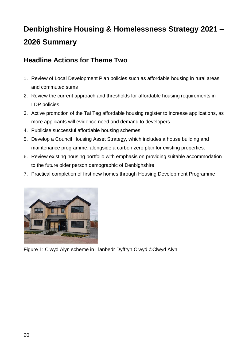### **Headline Actions for Theme Two**

- 1. Review of Local Development Plan policies such as affordable housing in rural areas and commuted sums
- 2. Review the current approach and thresholds for affordable housing requirements in LDP policies
- 3. Active promotion of the Tai Teg affordable housing register to increase applications, as more applicants will evidence need and demand to developers
- 4. Publicise successful affordable housing schemes
- 5. Develop a Council Housing Asset Strategy, which includes a house building and maintenance programme, alongside a carbon zero plan for existing properties.
- 6. Review existing housing portfolio with emphasis on providing suitable accommodation to the future older person demographic of Denbighshire
- 7. Practical completion of first new homes through Housing Development Programme



Figure 1: Clwyd Alyn scheme in Llanbedr Dyffryn Clwyd ©Clwyd Alyn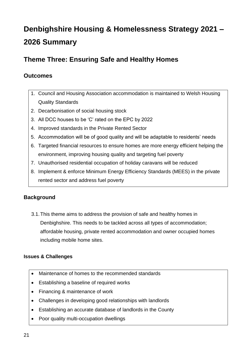### <span id="page-20-0"></span>**Theme Three: Ensuring Safe and Healthy Homes**

### **Outcomes**

- 1. Council and Housing Association accommodation is maintained to Welsh Housing Quality Standards
- 2. Decarbonisation of social housing stock
- 3. All DCC houses to be 'C' rated on the EPC by 2022
- 4. Improved standards in the Private Rented Sector
- 5. Accommodation will be of good quality and will be adaptable to residents' needs
- 6. Targeted financial resources to ensure homes are more energy efficient helping the environment, improving housing quality and targeting fuel poverty
- 7. Unauthorised residential occupation of holiday caravans will be reduced
- 8. Implement & enforce Minimum Energy Efficiency Standards (MEES) in the private rented sector and address fuel poverty

### **Background**

3.1.This theme aims to address the provision of safe and healthy homes in Denbighshire. This needs to be tackled across all types of accommodation; affordable housing, private rented accommodation and owner occupied homes including mobile home sites.

#### **Issues & Challenges**

- Maintenance of homes to the recommended standards
- Establishing a baseline of required works
- Financing & maintenance of work
- Challenges in developing good relationships with landlords
- Establishing an accurate database of landlords in the County
- Poor quality multi-occupation dwellings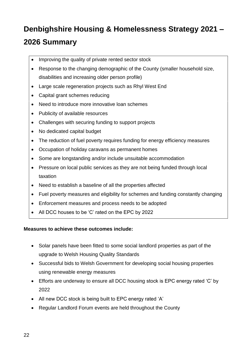- Improving the quality of private rented sector stock
- Response to the changing demographic of the County (smaller household size, disabilities and increasing older person profile)
- Large scale regeneration projects such as Rhyl West End
- Capital grant schemes reducing
- Need to introduce more innovative loan schemes
- Publicity of available resources
- Challenges with securing funding to support projects
- No dedicated capital budget
- The reduction of fuel poverty requires funding for energy efficiency measures
- Occupation of holiday caravans as permanent homes
- Some are longstanding and/or include unsuitable accommodation
- Pressure on local public services as they are not being funded through local taxation
- Need to establish a baseline of all the properties affected
- Fuel poverty measures and eligibility for schemes and funding constantly changing
- Enforcement measures and process needs to be adopted
- All DCC houses to be 'C' rated on the EPC by 2022

#### **Measures to achieve these outcomes include:**

- Solar panels have been fitted to some social landlord properties as part of the upgrade to Welsh Housing Quality Standards
- Successful bids to Welsh Government for developing social housing properties using renewable energy measures
- Efforts are underway to ensure all DCC housing stock is EPC energy rated 'C' by 2022
- All new DCC stock is being built to EPC energy rated 'A'
- Regular Landlord Forum events are held throughout the County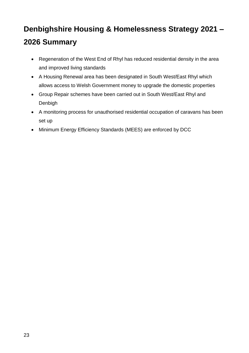- Regeneration of the West End of Rhyl has reduced residential density in the area and improved living standards
- A Housing Renewal area has been designated in South West/East Rhyl which allows access to Welsh Government money to upgrade the domestic properties
- Group Repair schemes have been carried out in South West/East Rhyl and Denbigh
- A monitoring process for unauthorised residential occupation of caravans has been set up
- Minimum Energy Efficiency Standards (MEES) are enforced by DCC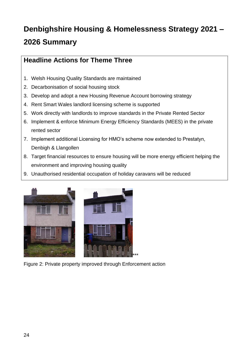### **Headline Actions for Theme Three**

- 1. Welsh Housing Quality Standards are maintained
- 2. Decarbonisation of social housing stock
- 3. Develop and adopt a new Housing Revenue Account borrowing strategy
- 4. Rent Smart Wales landlord licensing scheme is supported
- 5. Work directly with landlords to improve standards in the Private Rented Sector
- 6. Implement & enforce Minimum Energy Efficiency Standards (MEES) in the private rented sector
- 7. Implement additional Licensing for HMO's scheme now extended to Prestatyn, Denbigh & Llangollen
- 8. Target financial resources to ensure housing will be more energy efficient helping the environment and improving housing quality
- 9. Unauthorised residential occupation of holiday caravans will be reduced



Figure 2: Private property improved through Enforcement action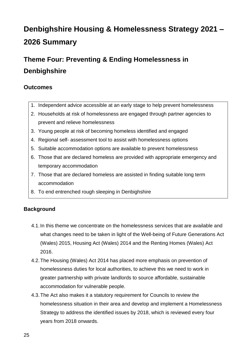### <span id="page-24-0"></span>**Theme Four: Preventing & Ending Homelessness in Denbighshire**

### **Outcomes**

- 1. Independent advice accessible at an early stage to help prevent homelessness
- 2. Households at risk of homelessness are engaged through partner agencies to prevent and relieve homelessness
- 3. Young people at risk of becoming homeless identified and engaged
- 4. Regional self- assessment tool to assist with homelessness options
- 5. Suitable accommodation options are available to prevent homelessness
- 6. Those that are declared homeless are provided with appropriate emergency and temporary accommodation
- 7. Those that are declared homeless are assisted in finding suitable long term accommodation
- 8. To end entrenched rough sleeping in Denbighshire

### **Background**

- 4.1.In this theme we concentrate on the homelessness services that are available and what changes need to be taken in light of the Well-being of Future Generations Act (Wales) 2015, Housing Act (Wales) 2014 and the Renting Homes (Wales) Act 2016.
- 4.2.The Housing (Wales) Act 2014 has placed more emphasis on prevention of homelessness duties for local authorities, to achieve this we need to work in greater partnership with private landlords to source affordable, sustainable accommodation for vulnerable people.
- 4.3.The Act also makes it a statutory requirement for Councils to review the homelessness situation in their area and develop and implement a Homelessness Strategy to address the identified issues by 2018, which is reviewed every four years from 2018 onwards.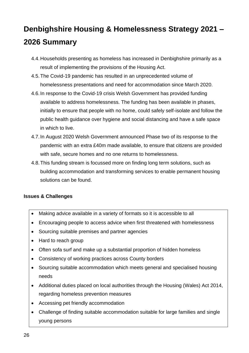- 4.4.Households presenting as homeless has increased in Denbighshire primarily as a result of implementing the provisions of the Housing Act.
- 4.5.The Covid-19 pandemic has resulted in an unprecedented volume of homelessness presentations and need for accommodation since March 2020.
- 4.6.In response to the Covid-19 crisis Welsh Government has provided funding available to address homelessness. The funding has been available in phases, initially to ensure that people with no home, could safely self-isolate and follow the public health guidance over hygiene and social distancing and have a safe space in which to live.
- 4.7.In August 2020 Welsh Government announced Phase two of its response to the pandemic with an extra £40m made available, to ensure that citizens are provided with safe, secure homes and no one returns to homelessness.
- 4.8.This funding stream is focussed more on finding long term solutions, such as building accommodation and transforming services to enable permanent housing solutions can be found.

#### **Issues & Challenges**

- Making advice available in a variety of formats so it is accessible to all
- Encouraging people to access advice when first threatened with homelessness
- Sourcing suitable premises and partner agencies
- Hard to reach group
- Often sofa surf and make up a substantial proportion of hidden homeless
- Consistency of working practices across County borders
- Sourcing suitable accommodation which meets general and specialised housing needs
- Additional duties placed on local authorities through the Housing (Wales) Act 2014, regarding homeless prevention measures
- Accessing pet friendly accommodation
- Challenge of finding suitable accommodation suitable for large families and single young persons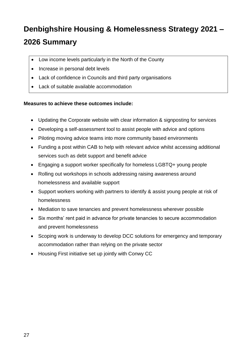- Low income levels particularly in the North of the County
- Increase in personal debt levels
- Lack of confidence in Councils and third party organisations
- Lack of suitable available accommodation

#### **Measures to achieve these outcomes include:**

- Updating the Corporate website with clear information & signposting for services
- Developing a self-assessment tool to assist people with advice and options
- Piloting moving advice teams into more community based environments
- Funding a post within CAB to help with relevant advice whilst accessing additional services such as debt support and benefit advice
- Engaging a support worker specifically for homeless LGBTQ+ young people
- Rolling out workshops in schools addressing raising awareness around homelessness and available support
- Support workers working with partners to identify & assist young people at risk of homelessness
- Mediation to save tenancies and prevent homelessness wherever possible
- Six months' rent paid in advance for private tenancies to secure accommodation and prevent homelessness
- Scoping work is underway to develop DCC solutions for emergency and temporary accommodation rather than relying on the private sector
- Housing First initiative set up jointly with Conwy CC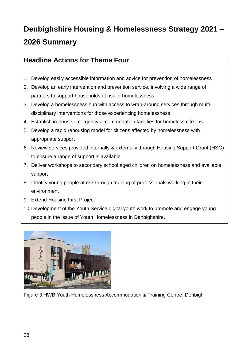### **Headline Actions for Theme Four**

- 1. Develop easily accessible information and advice for prevention of homelessness
- 2. Develop an early intervention and prevention service, involving a wide range of partners to support households at risk of homelessness
- 3. Develop a homelessness hub with access to wrap-around services through multidisciplinary interventions for those experiencing homelessness
- 4. Establish in-house emergency accommodation facilities for homeless citizens
- 5. Develop a rapid rehousing model for citizens affected by homelessness with appropriate support
- 6. Review services provided internally & externally through Housing Support Grant (HSG) to ensure a range of support is available
- 7. Deliver workshops to secondary school aged children on homelessness and available support
- 8. Identify young people at risk through training of professionals working in their environment
- 9. Extend Housing First Project
- 10.Development of the Youth Service digital youth work to promote and engage young people in the issue of Youth Homelessness in Denbighshire.



Figure 3:HWB Youth Homelessness Accommodation & Training Centre, Denbigh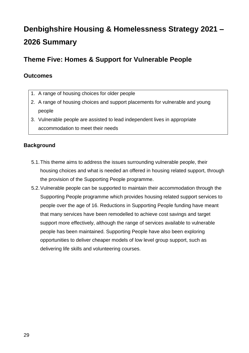### <span id="page-28-0"></span>**Theme Five: Homes & Support for Vulnerable People**

### **Outcomes**

- 1. A range of housing choices for older people
- 2. A range of housing choices and support placements for vulnerable and young people
- 3. Vulnerable people are assisted to lead independent lives in appropriate accommodation to meet their needs

#### **Background**

- 5.1.This theme aims to address the issues surrounding vulnerable people, their housing choices and what is needed an offered in housing related support, through the provision of the Supporting People programme.
- 5.2.Vulnerable people can be supported to maintain their accommodation through the Supporting People programme which provides housing related support services to people over the age of 16. Reductions in Supporting People funding have meant that many services have been remodelled to achieve cost savings and target support more effectively, although the range of services available to vulnerable people has been maintained. Supporting People have also been exploring opportunities to deliver cheaper models of low level group support, such as delivering life skills and volunteering courses.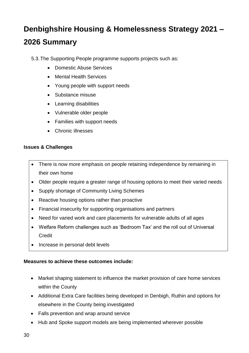5.3.The Supporting People programme supports projects such as:

- Domestic Abuse Services
- Mental Health Services
- Young people with support needs
- Substance misuse
- Learning disabilities
- Vulnerable older people
- Families with support needs
- Chronic illnesses

#### **Issues & Challenges**

- There is now more emphasis on people retaining independence by remaining in their own home
- Older people require a greater range of housing options to meet their varied needs
- Supply shortage of Community Living Schemes
- Reactive housing options rather than proactive
- Financial insecurity for supporting organisations and partners
- Need for varied work and care placements for vulnerable adults of all ages
- Welfare Reform challenges such as 'Bedroom Tax' and the roll out of Universal **Credit**
- Increase in personal debt levels

#### **Measures to achieve these outcomes include:**

- Market shaping statement to influence the market provision of care home services within the County
- Additional Extra Care facilities being developed in Denbigh, Ruthin and options for elsewhere in the County being investigated
- Falls prevention and wrap around service
- Hub and Spoke support models are being implemented wherever possible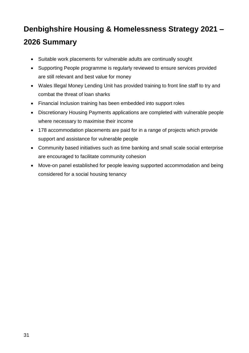- Suitable work placements for vulnerable adults are continually sought
- Supporting People programme is regularly reviewed to ensure services provided are still relevant and best value for money
- Wales Illegal Money Lending Unit has provided training to front line staff to try and combat the threat of loan sharks
- Financial Inclusion training has been embedded into support roles
- Discretionary Housing Payments applications are completed with vulnerable people where necessary to maximise their income
- 178 accommodation placements are paid for in a range of projects which provide support and assistance for vulnerable people
- Community based initiatives such as time banking and small scale social enterprise are encouraged to facilitate community cohesion
- Move-on panel established for people leaving supported accommodation and being considered for a social housing tenancy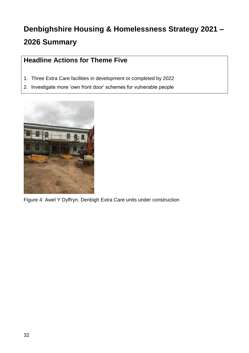### **Headline Actions for Theme Five**

- 1. Three Extra Care facilities in development or completed by 2022
- 2. Investigate more 'own front door' schemes for vulnerable people



Figure 4: Awel Y Dyffryn, Denbigh Extra Care units under construction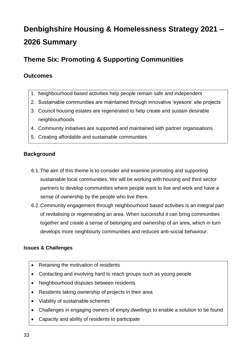### <span id="page-32-0"></span>**Theme Six: Promoting & Supporting Communities**

### **Outcomes**

- 1. Neighbourhood based activities help people remain safe and independent
- 2. Sustainable communities are maintained through innovative 'eyesore' site projects
- 3. Council housing estates are regenerated to help create and sustain desirable neighbourhoods
- 4. Community initiatives are supported and maintained with partner organisations
- 5. Creating affordable and sustainable communities

#### **Background**

- 6.1.The aim of this theme is to consider and examine promoting and supporting sustainable local communities. We will be working with housing and third sector partners to develop communities where people want to live and work and have a sense of ownership by the people who live there.
- 6.2.Community engagement through neighbourhood based activities is an integral part of revitalising or regenerating an area. When successful it can bring communities together and create a sense of belonging and ownership of an area, which in turn develops more neighbourly communities and reduces anti-social behaviour.

#### **Issues & Challenges**

- Retaining the motivation of residents
- Contacting and involving hard to reach groups such as young people
- Neighbourhood disputes between residents
- Residents taking ownership of projects in their area
- Viability of sustainable schemes
- Challenges in engaging owners of empty dwellings to enable a solution to be found
- Capacity and ability of residents to participate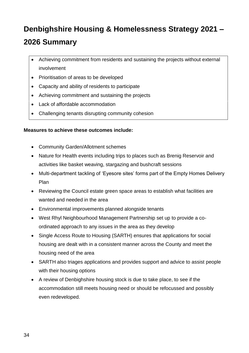- Achieving commitment from residents and sustaining the projects without external involvement
- Prioritisation of areas to be developed
- Capacity and ability of residents to participate
- Achieving commitment and sustaining the projects
- Lack of affordable accommodation
- Challenging tenants disrupting community cohesion

#### **Measures to achieve these outcomes include:**

- Community Garden/Allotment schemes
- Nature for Health events including trips to places such as Brenig Reservoir and activities like basket weaving, stargazing and bushcraft sessions
- Multi-department tackling of 'Eyesore sites' forms part of the Empty Homes Delivery Plan
- Reviewing the Council estate green space areas to establish what facilities are wanted and needed in the area
- Environmental improvements planned alongside tenants
- West Rhyl Neighbourhood Management Partnership set up to provide a coordinated approach to any issues in the area as they develop
- Single Access Route to Housing (SARTH) ensures that applications for social housing are dealt with in a consistent manner across the County and meet the housing need of the area
- SARTH also triages applications and provides support and advice to assist people with their housing options
- A review of Denbighshire housing stock is due to take place, to see if the accommodation still meets housing need or should be refocussed and possibly even redeveloped.